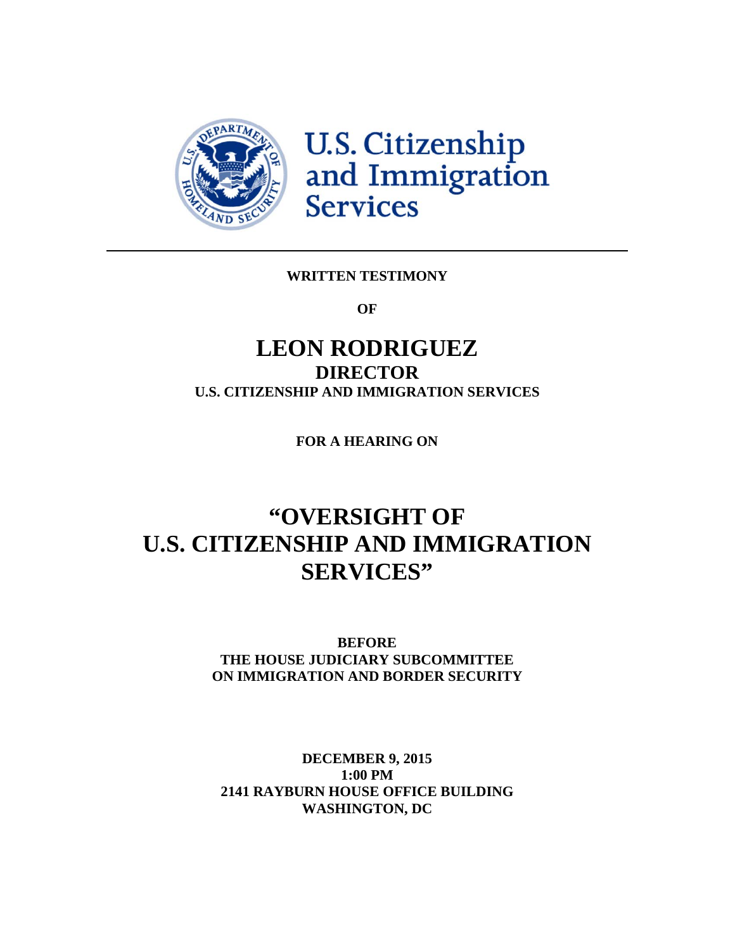

U.S. Citizenship<br>and Immigration **Services** 

# **WRITTEN TESTIMONY**

**OF**

# **LEON RODRIGUEZ DIRECTOR U.S. CITIZENSHIP AND IMMIGRATION SERVICES**

**FOR A HEARING ON**

# **"OVERSIGHT OF U.S. CITIZENSHIP AND IMMIGRATION SERVICES"**

**BEFORE THE HOUSE JUDICIARY SUBCOMMITTEE ON IMMIGRATION AND BORDER SECURITY**

**DECEMBER 9, 2015 1:00 PM 2141 RAYBURN HOUSE OFFICE BUILDING WASHINGTON, DC**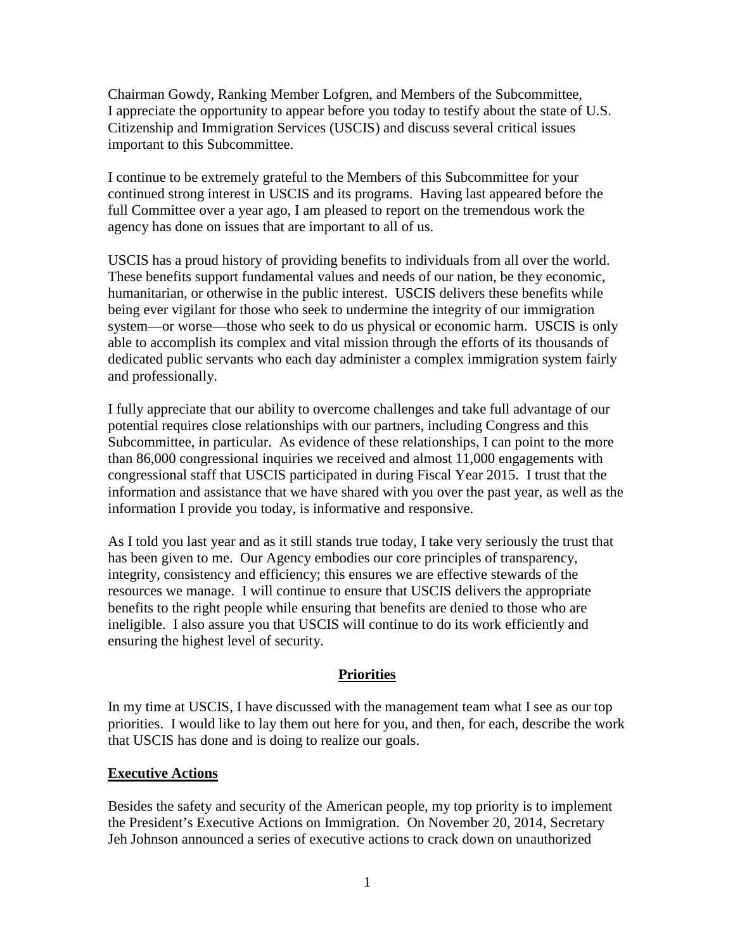Chairman Gowdy, Ranking Member Lofgren, and Members of the Subcommittee, I appreciate the opportunity to appear before you today to testify about the state of U.S. Citizenship and Immigration Services (USCIS) and discuss several critical issues important to this Subcommittee.

I continue to be extremely grateful to the Members of this Subcommittee for your continued strong interest in USCIS and its programs. Having last appeared before the full Committee over a year ago, I am pleased to report on the tremendous work the agency has done on issues that are important to all of us.

USCIS has a proud history of providing benefits to individuals from all over the world. These benefits support fundamental values and needs of our nation, be they economic, humanitarian, or otherwise in the public interest. USCIS delivers these benefits while being ever vigilant for those who seek to undermine the integrity of our immigration system—or worse—those who seek to do us physical or economic harm. USCIS is only able to accomplish its complex and vital mission through the efforts of its thousands of dedicated public servants who each day administer a complex immigration system fairly and professionally.

I fully appreciate that our ability to overcome challenges and take full advantage of our potential requires close relationships with our partners, including Congress and this Subcommittee, in particular. As evidence of these relationships, I can point to the more than 86,000 congressional inquiries we received and almost 11,000 engagements with congressional staff that USCIS participated in during Fiscal Year 2015. I trust that the information and assistance that we have shared with you over the past year, as well as the information I provide you today, is informative and responsive.

As I told you last year and as it still stands true today, I take very seriously the trust that has been given to me. Our Agency embodies our core principles of transparency, integrity, consistency and efficiency; this ensures we are effective stewards of the resources we manage. I will continue to ensure that USCIS delivers the appropriate benefits to the right people while ensuring that benefits are denied to those who are ineligible. I also assure you that USCIS will continue to do its work efficiently and ensuring the highest level of security.

### **Priorities**

In my time at USCIS, I have discussed with the management team what I see as our top priorities. I would like to lay them out here for you, and then, for each, describe the work that USCIS has done and is doing to realize our goals.

#### **Executive Actions**

Besides the safety and security of the American people, my top priority is to implement the President's Executive Actions on Immigration. On November 20, 2014, Secretary Jeh Johnson announced a series of executive actions to crack down on unauthorized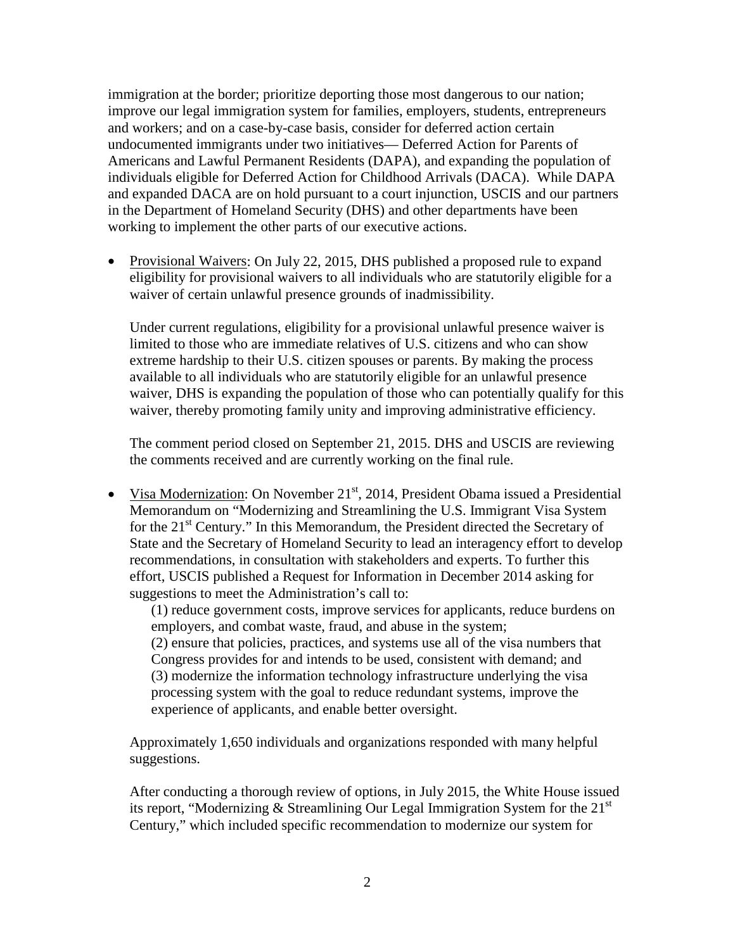immigration at the border; prioritize deporting those most dangerous to our nation; improve our legal immigration system for families, employers, students, entrepreneurs and workers; and on a case-by-case basis, consider for deferred action certain undocumented immigrants under two initiatives— Deferred Action for Parents of Americans and Lawful Permanent Residents (DAPA), and expanding the population of individuals eligible for Deferred Action for Childhood Arrivals (DACA). While DAPA and expanded DACA are on hold pursuant to a court injunction, USCIS and our partners in the Department of Homeland Security (DHS) and other departments have been working to implement the other parts of our executive actions.

• Provisional Waivers: On July 22, 2015, DHS published a proposed rule to expand eligibility for provisional waivers to all individuals who are statutorily eligible for a waiver of certain unlawful presence grounds of inadmissibility.

Under current regulations, eligibility for a provisional unlawful presence waiver is limited to those who are immediate relatives of U.S. citizens and who can show extreme hardship to their U.S. citizen spouses or parents. By making the process available to all individuals who are statutorily eligible for an unlawful presence waiver, DHS is expanding the population of those who can potentially qualify for this waiver, thereby promoting family unity and improving administrative efficiency.

The comment period closed on September 21, 2015. DHS and USCIS are reviewing the comments received and are currently working on the final rule.

• Visa Modernization: On November 21<sup>st</sup>, 2014, President Obama issued a Presidential Memorandum on "Modernizing and Streamlining the U.S. Immigrant Visa System for the  $21<sup>st</sup>$  Century." In this Memorandum, the President directed the Secretary of State and the Secretary of Homeland Security to lead an interagency effort to develop recommendations, in consultation with stakeholders and experts. To further this effort, USCIS published a Request for Information in December 2014 asking for suggestions to meet the Administration's call to:

(1) reduce government costs, improve services for applicants, reduce burdens on employers, and combat waste, fraud, and abuse in the system;

(2) ensure that policies, practices, and systems use all of the visa numbers that Congress provides for and intends to be used, consistent with demand; and (3) modernize the information technology infrastructure underlying the visa processing system with the goal to reduce redundant systems, improve the experience of applicants, and enable better oversight.

Approximately 1,650 individuals and organizations responded with many helpful suggestions.

After conducting a thorough review of options, in July 2015, the White House issued its report, "Modernizing & Streamlining Our Legal Immigration System for the  $21<sup>st</sup>$ Century," which included specific recommendation to modernize our system for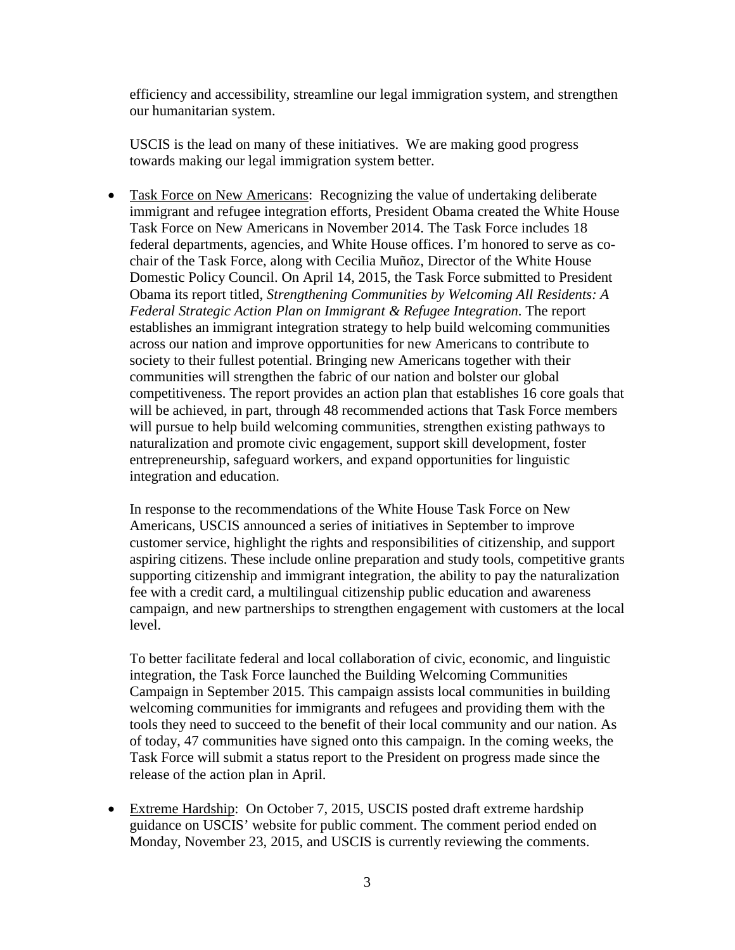efficiency and accessibility, streamline our legal immigration system, and strengthen our humanitarian system.

USCIS is the lead on many of these initiatives. We are making good progress towards making our legal immigration system better.

• Task Force on New Americans: Recognizing the value of undertaking deliberate immigrant and refugee integration efforts, President Obama created the White House Task Force on New Americans in November 2014. The Task Force includes 18 federal departments, agencies, and White House offices. I'm honored to serve as cochair of the Task Force, along with Cecilia Muñoz, Director of the White House Domestic Policy Council. On April 14, 2015, the Task Force submitted to President Obama its report titled, *Strengthening Communities by Welcoming All Residents: A Federal Strategic Action Plan on Immigrant & Refugee Integration*. The report establishes an immigrant integration strategy to help build welcoming communities across our nation and improve opportunities for new Americans to contribute to society to their fullest potential. Bringing new Americans together with their communities will strengthen the fabric of our nation and bolster our global competitiveness. The report provides an action plan that establishes 16 core goals that will be achieved, in part, through 48 recommended actions that Task Force members will pursue to help build welcoming communities, strengthen existing pathways to naturalization and promote civic engagement, support skill development, foster entrepreneurship, safeguard workers, and expand opportunities for linguistic integration and education.

In response to the recommendations of the White House Task Force on New Americans, USCIS announced a series of initiatives in September to improve customer service, highlight the rights and responsibilities of citizenship, and support aspiring citizens. These include online preparation and study tools, competitive grants supporting citizenship and immigrant integration, the ability to pay the naturalization fee with a credit card, a multilingual citizenship public education and awareness campaign, and new partnerships to strengthen engagement with customers at the local level.

To better facilitate federal and local collaboration of civic, economic, and linguistic integration, the Task Force launched the Building Welcoming Communities Campaign in September 2015. This campaign assists local communities in building welcoming communities for immigrants and refugees and providing them with the tools they need to succeed to the benefit of their local community and our nation. As of today, 47 communities have signed onto this campaign. In the coming weeks, the Task Force will submit a status report to the President on progress made since the release of the action plan in April.

• Extreme Hardship: On October 7, 2015, USCIS posted draft extreme hardship guidance on USCIS' website for public comment. The comment period ended on Monday, November 23, 2015, and USCIS is currently reviewing the comments.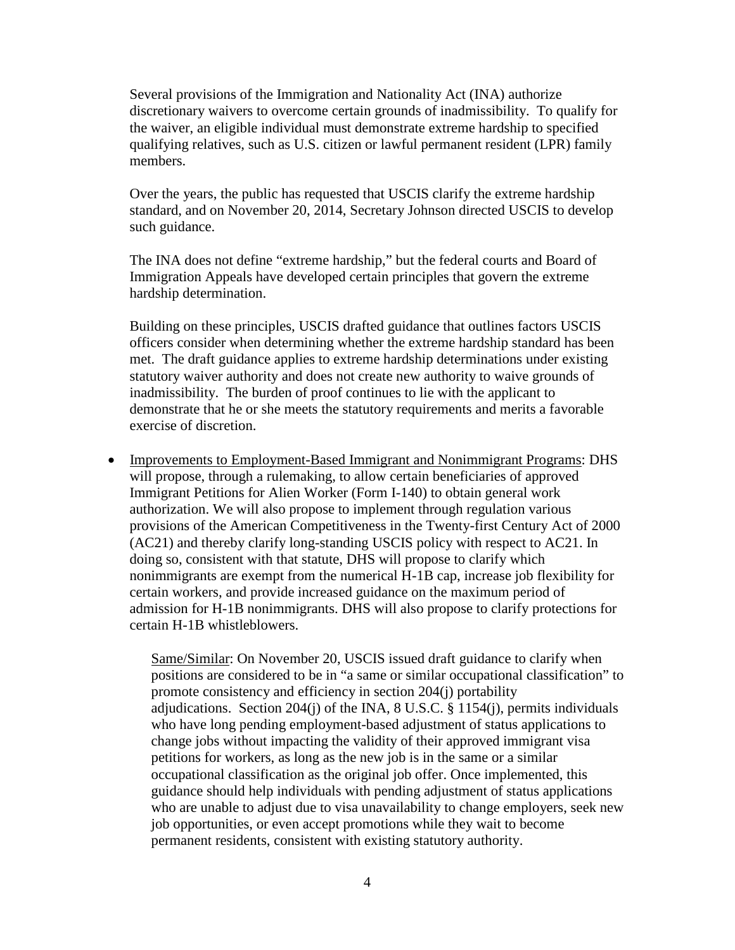Several provisions of the Immigration and Nationality Act (INA) authorize discretionary waivers to overcome certain grounds of inadmissibility. To qualify for the waiver, an eligible individual must demonstrate extreme hardship to specified qualifying relatives, such as U.S. citizen or lawful permanent resident (LPR) family members.

Over the years, the public has requested that USCIS clarify the extreme hardship standard, and on November 20, 2014, Secretary Johnson directed USCIS to develop such guidance.

The INA does not define "extreme hardship," but the federal courts and Board of Immigration Appeals have developed certain principles that govern the extreme hardship determination.

Building on these principles, USCIS drafted guidance that outlines factors USCIS officers consider when determining whether the extreme hardship standard has been met. The draft guidance applies to extreme hardship determinations under existing statutory waiver authority and does not create new authority to waive grounds of inadmissibility. The burden of proof continues to lie with the applicant to demonstrate that he or she meets the statutory requirements and merits a favorable exercise of discretion.

• Improvements to Employment-Based Immigrant and Nonimmigrant Programs: DHS will propose, through a rulemaking, to allow certain beneficiaries of approved Immigrant Petitions for Alien Worker (Form I-140) to obtain general work authorization. We will also propose to implement through regulation various provisions of the American Competitiveness in the Twenty-first Century Act of 2000 (AC21) and thereby clarify long-standing USCIS policy with respect to AC21. In doing so, consistent with that statute, DHS will propose to clarify which nonimmigrants are exempt from the numerical H-1B cap, increase job flexibility for certain workers, and provide increased guidance on the maximum period of admission for H-1B nonimmigrants. DHS will also propose to clarify protections for certain H-1B whistleblowers.

Same/Similar: On November 20, USCIS issued draft guidance to clarify when positions are considered to be in "a same or similar occupational classification" to promote consistency and efficiency in section 204(j) portability adjudications. Section  $204(i)$  of the INA, 8 U.S.C. § 1154(j), permits individuals who have long pending employment-based adjustment of status applications to change jobs without impacting the validity of their approved immigrant visa petitions for workers, as long as the new job is in the same or a similar occupational classification as the original job offer. Once implemented, this guidance should help individuals with pending adjustment of status applications who are unable to adjust due to visa unavailability to change employers, seek new job opportunities, or even accept promotions while they wait to become permanent residents, consistent with existing statutory authority.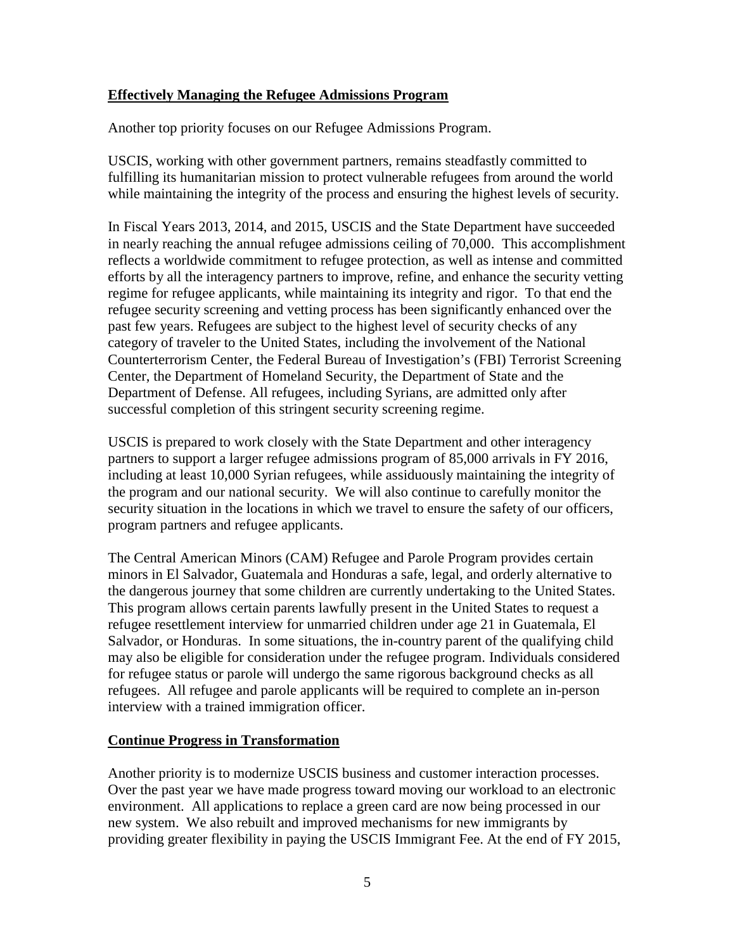#### **Effectively Managing the Refugee Admissions Program**

Another top priority focuses on our Refugee Admissions Program.

USCIS, working with other government partners, remains steadfastly committed to fulfilling its humanitarian mission to protect vulnerable refugees from around the world while maintaining the integrity of the process and ensuring the highest levels of security.

In Fiscal Years 2013, 2014, and 2015, USCIS and the State Department have succeeded in nearly reaching the annual refugee admissions ceiling of 70,000. This accomplishment reflects a worldwide commitment to refugee protection, as well as intense and committed efforts by all the interagency partners to improve, refine, and enhance the security vetting regime for refugee applicants, while maintaining its integrity and rigor. To that end the refugee security screening and vetting process has been significantly enhanced over the past few years. Refugees are subject to the highest level of security checks of any category of traveler to the United States, including the involvement of the National Counterterrorism Center, the Federal Bureau of Investigation's (FBI) Terrorist Screening Center, the Department of Homeland Security, the Department of State and the Department of Defense. All refugees, including Syrians, are admitted only after successful completion of this stringent security screening regime.

USCIS is prepared to work closely with the State Department and other interagency partners to support a larger refugee admissions program of 85,000 arrivals in FY 2016, including at least 10,000 Syrian refugees, while assiduously maintaining the integrity of the program and our national security. We will also continue to carefully monitor the security situation in the locations in which we travel to ensure the safety of our officers, program partners and refugee applicants.

The Central American Minors (CAM) Refugee and Parole Program provides certain minors in El Salvador, Guatemala and Honduras a safe, legal, and orderly alternative to the dangerous journey that some children are currently undertaking to the United States. This program allows certain parents lawfully present in the United States to request a refugee resettlement interview for unmarried children under age 21 in Guatemala, El Salvador, or Honduras. In some situations, the in-country parent of the qualifying child may also be eligible for consideration under the refugee program. Individuals considered for refugee status or parole will undergo the same rigorous background checks as all refugees. All refugee and parole applicants will be required to complete an in-person interview with a trained immigration officer.

#### **Continue Progress in Transformation**

Another priority is to modernize USCIS business and customer interaction processes. Over the past year we have made progress toward moving our workload to an electronic environment. All applications to replace a green card are now being processed in our new system. We also rebuilt and improved mechanisms for new immigrants by providing greater flexibility in paying the USCIS Immigrant Fee. At the end of FY 2015,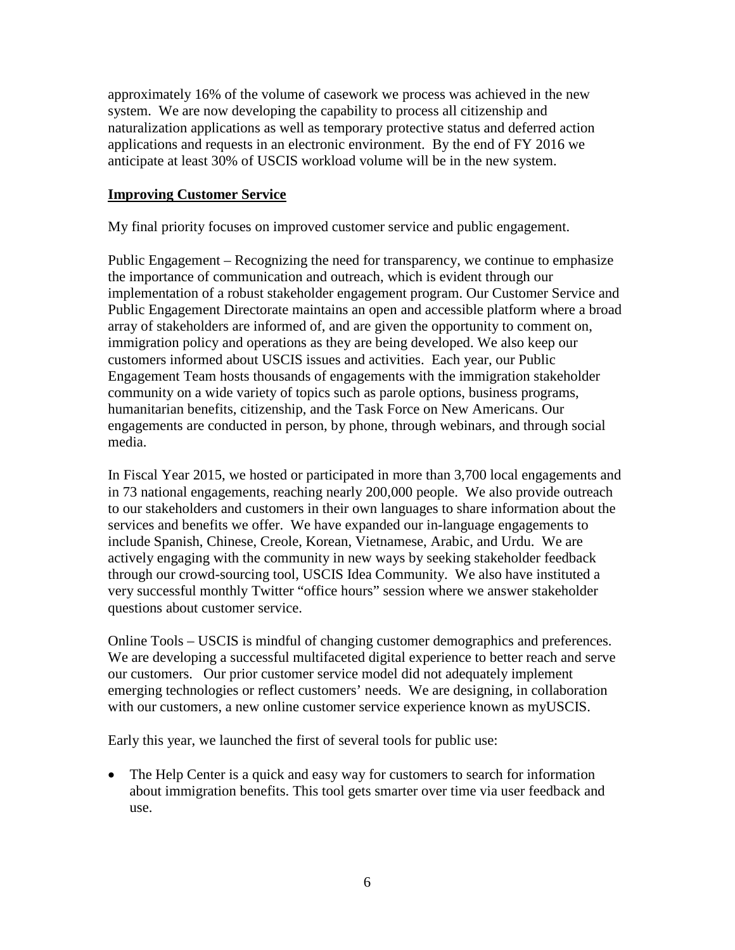approximately 16% of the volume of casework we process was achieved in the new system. We are now developing the capability to process all citizenship and naturalization applications as well as temporary protective status and deferred action applications and requests in an electronic environment. By the end of FY 2016 we anticipate at least 30% of USCIS workload volume will be in the new system.

#### **Improving Customer Service**

My final priority focuses on improved customer service and public engagement.

Public Engagement – Recognizing the need for transparency, we continue to emphasize the importance of communication and outreach, which is evident through our implementation of a robust stakeholder engagement program. Our Customer Service and Public Engagement Directorate maintains an open and accessible platform where a broad array of stakeholders are informed of, and are given the opportunity to comment on, immigration policy and operations as they are being developed. We also keep our customers informed about USCIS issues and activities. Each year, our Public Engagement Team hosts thousands of engagements with the immigration stakeholder community on a wide variety of topics such as parole options, business programs, humanitarian benefits, citizenship, and the Task Force on New Americans. Our engagements are conducted in person, by phone, through webinars, and through social media.

In Fiscal Year 2015, we hosted or participated in more than 3,700 local engagements and in 73 national engagements, reaching nearly 200,000 people. We also provide outreach to our stakeholders and customers in their own languages to share information about the services and benefits we offer. We have expanded our in-language engagements to include Spanish, Chinese, Creole, Korean, Vietnamese, Arabic, and Urdu. We are actively engaging with the community in new ways by seeking stakeholder feedback through our crowd-sourcing tool, USCIS Idea Community. We also have instituted a very successful monthly Twitter "office hours" session where we answer stakeholder questions about customer service.

Online Tools – USCIS is mindful of changing customer demographics and preferences. We are developing a successful multifaceted digital experience to better reach and serve our customers. Our prior customer service model did not adequately implement emerging technologies or reflect customers' needs. We are designing, in collaboration with our customers, a new online customer service experience known as myUSCIS.

Early this year, we launched the first of several tools for public use:

• The Help Center is a quick and easy way for customers to search for information about immigration benefits. This tool gets smarter over time via user feedback and use.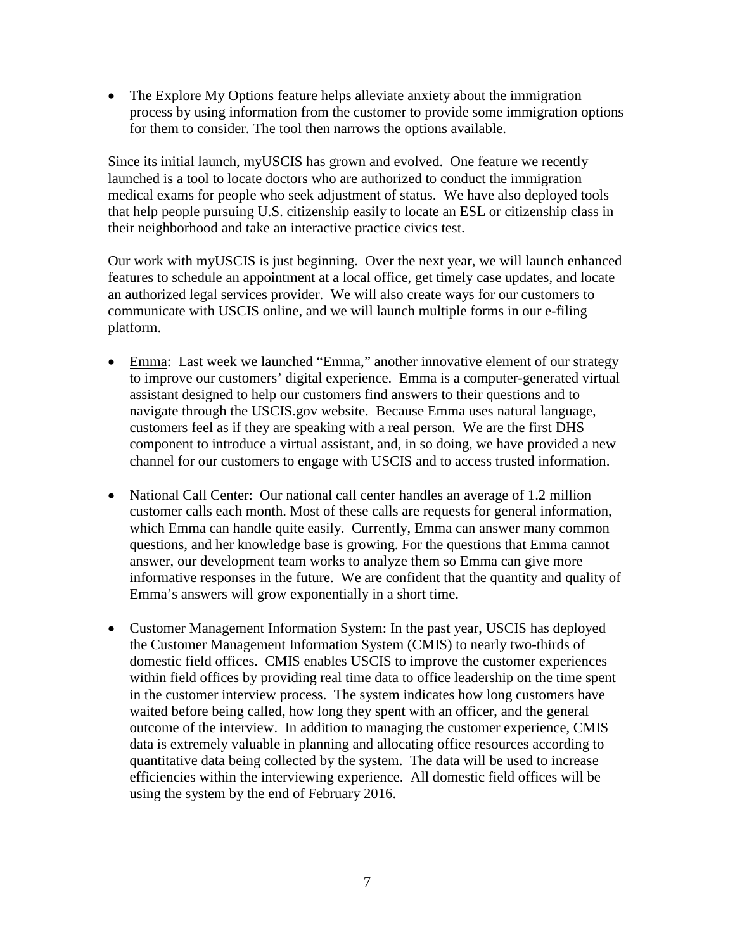• The Explore My Options feature helps alleviate anxiety about the immigration process by using information from the customer to provide some immigration options for them to consider. The tool then narrows the options available.

Since its initial launch, myUSCIS has grown and evolved. One feature we recently launched is a tool to locate doctors who are authorized to conduct the immigration medical exams for people who seek adjustment of status. We have also deployed tools that help people pursuing U.S. citizenship easily to locate an ESL or citizenship class in their neighborhood and take an interactive practice civics test.

Our work with myUSCIS is just beginning. Over the next year, we will launch enhanced features to schedule an appointment at a local office, get timely case updates, and locate an authorized legal services provider. We will also create ways for our customers to communicate with USCIS online, and we will launch multiple forms in our e-filing platform.

- Emma: Last week we launched "Emma," another innovative element of our strategy to improve our customers' digital experience. Emma is a computer-generated virtual assistant designed to help our customers find answers to their questions and to navigate through the USCIS.gov website. Because Emma uses natural language, customers feel as if they are speaking with a real person. We are the first DHS component to introduce a virtual assistant, and, in so doing, we have provided a new channel for our customers to engage with USCIS and to access trusted information.
- National Call Center: Our national call center handles an average of 1.2 million customer calls each month. Most of these calls are requests for general information, which Emma can handle quite easily. Currently, Emma can answer many common questions, and her knowledge base is growing. For the questions that Emma cannot answer, our development team works to analyze them so Emma can give more informative responses in the future. We are confident that the quantity and quality of Emma's answers will grow exponentially in a short time.
- Customer Management Information System: In the past year, USCIS has deployed the Customer Management Information System (CMIS) to nearly two-thirds of domestic field offices. CMIS enables USCIS to improve the customer experiences within field offices by providing real time data to office leadership on the time spent in the customer interview process. The system indicates how long customers have waited before being called, how long they spent with an officer, and the general outcome of the interview. In addition to managing the customer experience, CMIS data is extremely valuable in planning and allocating office resources according to quantitative data being collected by the system. The data will be used to increase efficiencies within the interviewing experience. All domestic field offices will be using the system by the end of February 2016.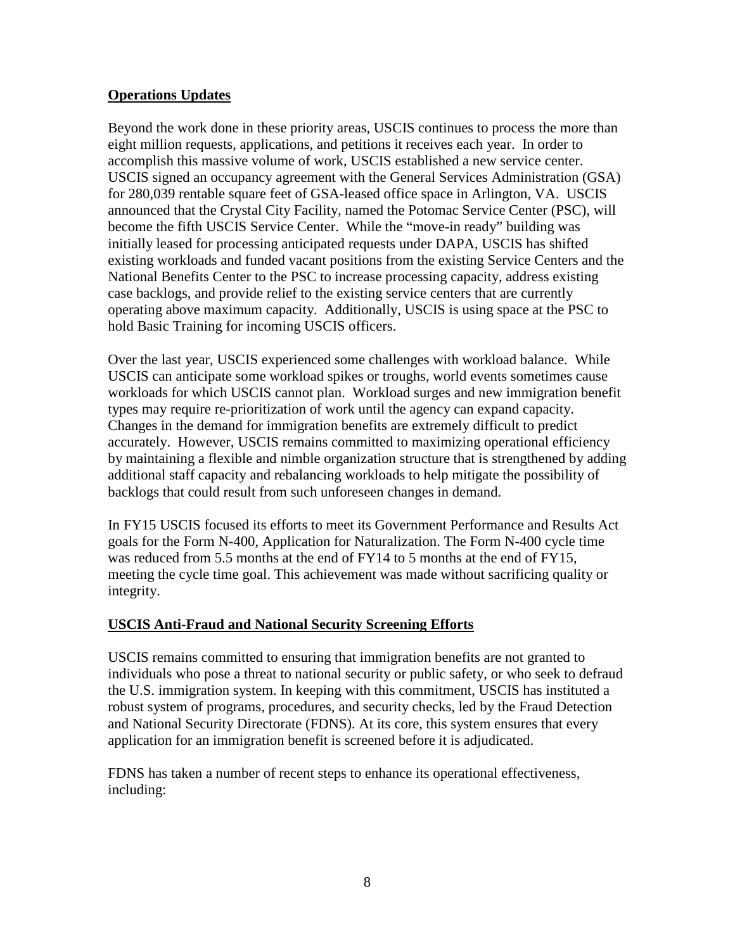#### **Operations Updates**

Beyond the work done in these priority areas, USCIS continues to process the more than eight million requests, applications, and petitions it receives each year. In order to accomplish this massive volume of work, USCIS established a new service center. USCIS signed an occupancy agreement with the General Services Administration (GSA) for 280,039 rentable square feet of GSA-leased office space in Arlington, VA. USCIS announced that the Crystal City Facility, named the Potomac Service Center (PSC), will become the fifth USCIS Service Center. While the "move-in ready" building was initially leased for processing anticipated requests under DAPA, USCIS has shifted existing workloads and funded vacant positions from the existing Service Centers and the National Benefits Center to the PSC to increase processing capacity, address existing case backlogs, and provide relief to the existing service centers that are currently operating above maximum capacity. Additionally, USCIS is using space at the PSC to hold Basic Training for incoming USCIS officers.

Over the last year, USCIS experienced some challenges with workload balance. While USCIS can anticipate some workload spikes or troughs, world events sometimes cause workloads for which USCIS cannot plan. Workload surges and new immigration benefit types may require re-prioritization of work until the agency can expand capacity. Changes in the demand for immigration benefits are extremely difficult to predict accurately. However, USCIS remains committed to maximizing operational efficiency by maintaining a flexible and nimble organization structure that is strengthened by adding additional staff capacity and rebalancing workloads to help mitigate the possibility of backlogs that could result from such unforeseen changes in demand.

In FY15 USCIS focused its efforts to meet its Government Performance and Results Act goals for the Form N-400, Application for Naturalization. The Form N-400 cycle time was reduced from 5.5 months at the end of FY14 to 5 months at the end of FY15, meeting the cycle time goal. This achievement was made without sacrificing quality or integrity.

#### **USCIS Anti-Fraud and National Security Screening Efforts**

USCIS remains committed to ensuring that immigration benefits are not granted to individuals who pose a threat to national security or public safety, or who seek to defraud the U.S. immigration system. In keeping with this commitment, USCIS has instituted a robust system of programs, procedures, and security checks, led by the Fraud Detection and National Security Directorate (FDNS). At its core, this system ensures that every application for an immigration benefit is screened before it is adjudicated.

FDNS has taken a number of recent steps to enhance its operational effectiveness, including: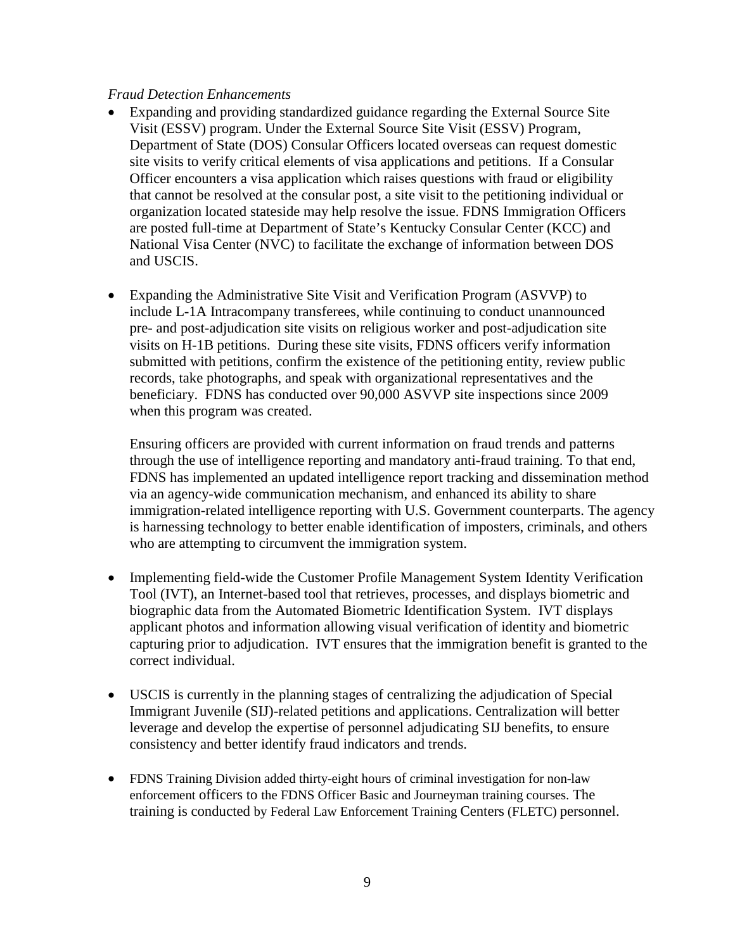#### *Fraud Detection Enhancements*

- Expanding and providing standardized guidance regarding the External Source Site Visit (ESSV) program. Under the External Source Site Visit (ESSV) Program, Department of State (DOS) Consular Officers located overseas can request domestic site visits to verify critical elements of visa applications and petitions. If a Consular Officer encounters a visa application which raises questions with fraud or eligibility that cannot be resolved at the consular post, a site visit to the petitioning individual or organization located stateside may help resolve the issue. FDNS Immigration Officers are posted full-time at Department of State's Kentucky Consular Center (KCC) and National Visa Center (NVC) to facilitate the exchange of information between DOS and USCIS.
- Expanding the Administrative Site Visit and Verification Program (ASVVP) to include L-1A Intracompany transferees, while continuing to conduct unannounced pre- and post-adjudication site visits on religious worker and post-adjudication site visits on H-1B petitions. During these site visits, FDNS officers verify information submitted with petitions, confirm the existence of the petitioning entity, review public records, take photographs, and speak with organizational representatives and the beneficiary. FDNS has conducted over 90,000 ASVVP site inspections since 2009 when this program was created.

Ensuring officers are provided with current information on fraud trends and patterns through the use of intelligence reporting and mandatory anti-fraud training. To that end, FDNS has implemented an updated intelligence report tracking and dissemination method via an agency-wide communication mechanism, and enhanced its ability to share immigration-related intelligence reporting with U.S. Government counterparts. The agency is harnessing technology to better enable identification of imposters, criminals, and others who are attempting to circumvent the immigration system.

- Implementing field-wide the Customer Profile Management System Identity Verification Tool (IVT), an Internet-based tool that retrieves, processes, and displays biometric and biographic data from the Automated Biometric Identification System. IVT displays applicant photos and information allowing visual verification of identity and biometric capturing prior to adjudication. IVT ensures that the immigration benefit is granted to the correct individual.
- USCIS is currently in the planning stages of centralizing the adjudication of Special Immigrant Juvenile (SIJ)-related petitions and applications. Centralization will better leverage and develop the expertise of personnel adjudicating SIJ benefits, to ensure consistency and better identify fraud indicators and trends.
- FDNS Training Division added thirty-eight hours of criminal investigation for non-law enforcement officers to the FDNS Officer Basic and Journeyman training courses. The training is conducted by Federal Law Enforcement Training Centers (FLETC) personnel.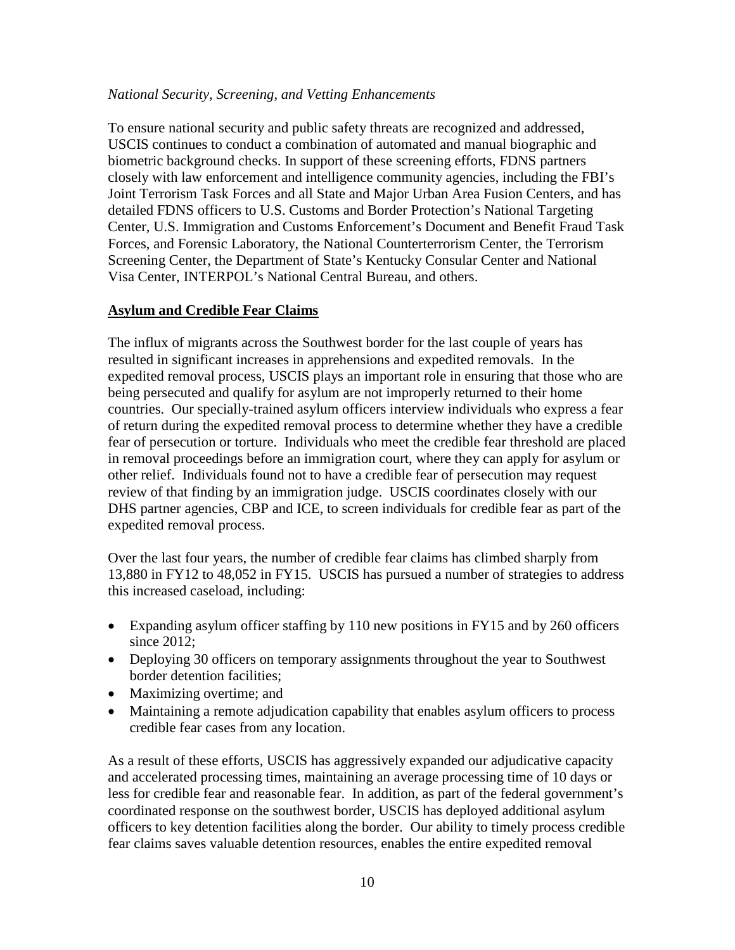#### *National Security, Screening, and Vetting Enhancements*

To ensure national security and public safety threats are recognized and addressed, USCIS continues to conduct a combination of automated and manual biographic and biometric background checks. In support of these screening efforts, FDNS partners closely with law enforcement and intelligence community agencies, including the FBI's Joint Terrorism Task Forces and all State and Major Urban Area Fusion Centers, and has detailed FDNS officers to U.S. Customs and Border Protection's National Targeting Center, U.S. Immigration and Customs Enforcement's Document and Benefit Fraud Task Forces, and Forensic Laboratory, the National Counterterrorism Center, the Terrorism Screening Center, the Department of State's Kentucky Consular Center and National Visa Center, INTERPOL's National Central Bureau, and others.

#### **Asylum and Credible Fear Claims**

The influx of migrants across the Southwest border for the last couple of years has resulted in significant increases in apprehensions and expedited removals. In the expedited removal process, USCIS plays an important role in ensuring that those who are being persecuted and qualify for asylum are not improperly returned to their home countries. Our specially-trained asylum officers interview individuals who express a fear of return during the expedited removal process to determine whether they have a credible fear of persecution or torture. Individuals who meet the credible fear threshold are placed in removal proceedings before an immigration court, where they can apply for asylum or other relief. Individuals found not to have a credible fear of persecution may request review of that finding by an immigration judge. USCIS coordinates closely with our DHS partner agencies, CBP and ICE, to screen individuals for credible fear as part of the expedited removal process.

Over the last four years, the number of credible fear claims has climbed sharply from 13,880 in FY12 to 48,052 in FY15. USCIS has pursued a number of strategies to address this increased caseload, including:

- Expanding asylum officer staffing by 110 new positions in FY15 and by 260 officers since 2012;
- Deploying 30 officers on temporary assignments throughout the year to Southwest border detention facilities;
- Maximizing overtime; and
- Maintaining a remote adjudication capability that enables asylum officers to process credible fear cases from any location.

As a result of these efforts, USCIS has aggressively expanded our adjudicative capacity and accelerated processing times, maintaining an average processing time of 10 days or less for credible fear and reasonable fear. In addition, as part of the federal government's coordinated response on the southwest border, USCIS has deployed additional asylum officers to key detention facilities along the border. Our ability to timely process credible fear claims saves valuable detention resources, enables the entire expedited removal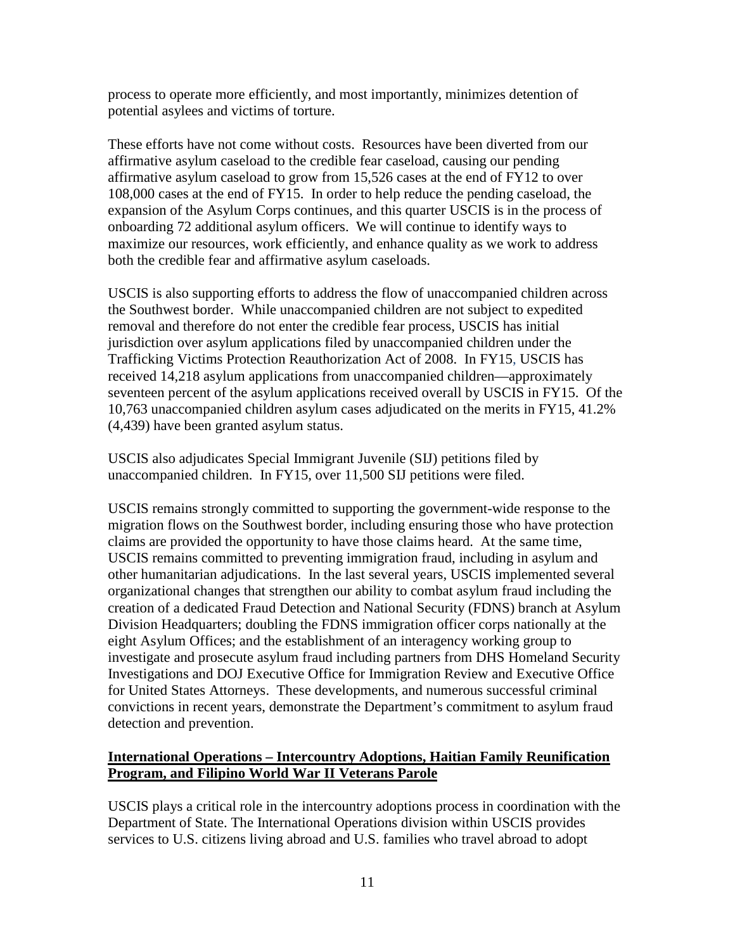process to operate more efficiently, and most importantly, minimizes detention of potential asylees and victims of torture.

These efforts have not come without costs. Resources have been diverted from our affirmative asylum caseload to the credible fear caseload, causing our pending affirmative asylum caseload to grow from 15,526 cases at the end of FY12 to over 108,000 cases at the end of FY15. In order to help reduce the pending caseload, the expansion of the Asylum Corps continues, and this quarter USCIS is in the process of onboarding 72 additional asylum officers. We will continue to identify ways to maximize our resources, work efficiently, and enhance quality as we work to address both the credible fear and affirmative asylum caseloads.

USCIS is also supporting efforts to address the flow of unaccompanied children across the Southwest border. While unaccompanied children are not subject to expedited removal and therefore do not enter the credible fear process, USCIS has initial jurisdiction over asylum applications filed by unaccompanied children under the Trafficking Victims Protection Reauthorization Act of 2008. In FY15, USCIS has received 14,218 asylum applications from unaccompanied children—approximately seventeen percent of the asylum applications received overall by USCIS in FY15. Of the 10,763 unaccompanied children asylum cases adjudicated on the merits in FY15, 41.2% (4,439) have been granted asylum status.

USCIS also adjudicates Special Immigrant Juvenile (SIJ) petitions filed by unaccompanied children. In FY15, over 11,500 SIJ petitions were filed.

USCIS remains strongly committed to supporting the government-wide response to the migration flows on the Southwest border, including ensuring those who have protection claims are provided the opportunity to have those claims heard. At the same time, USCIS remains committed to preventing immigration fraud, including in asylum and other humanitarian adjudications. In the last several years, USCIS implemented several organizational changes that strengthen our ability to combat asylum fraud including the creation of a dedicated Fraud Detection and National Security (FDNS) branch at Asylum Division Headquarters; doubling the FDNS immigration officer corps nationally at the eight Asylum Offices; and the establishment of an interagency working group to investigate and prosecute asylum fraud including partners from DHS Homeland Security Investigations and DOJ Executive Office for Immigration Review and Executive Office for United States Attorneys. These developments, and numerous successful criminal convictions in recent years, demonstrate the Department's commitment to asylum fraud detection and prevention.

#### **International Operations – Intercountry Adoptions, Haitian Family Reunification Program, and Filipino World War II Veterans Parole**

USCIS plays a critical role in the intercountry adoptions process in coordination with the Department of State. The International Operations division within USCIS provides services to U.S. citizens living abroad and U.S. families who travel abroad to adopt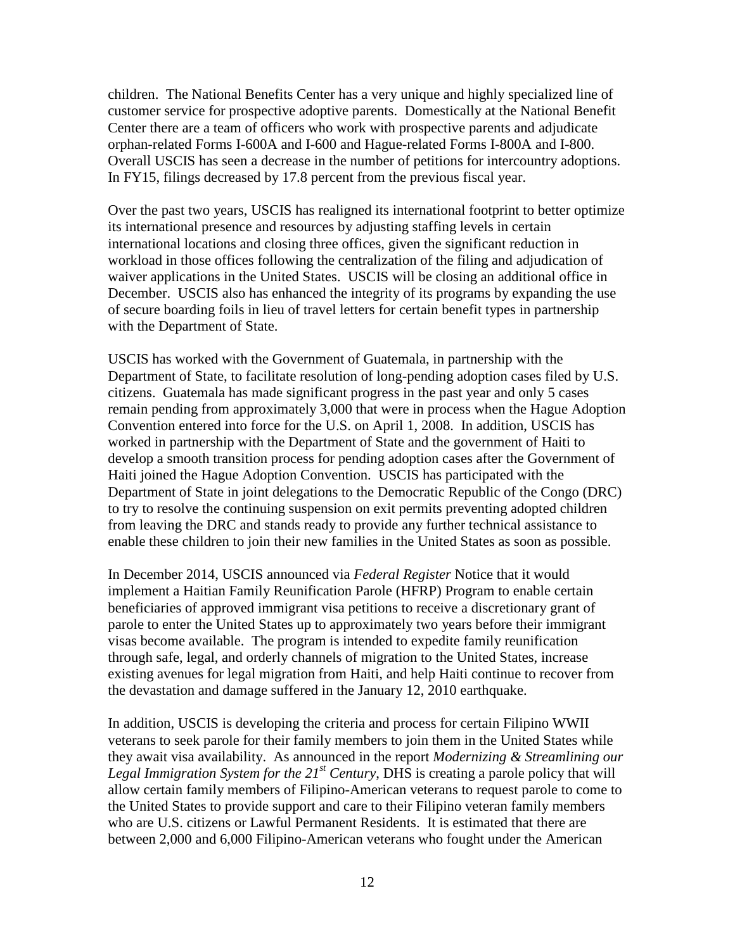children. The National Benefits Center has a very unique and highly specialized line of customer service for prospective adoptive parents. Domestically at the National Benefit Center there are a team of officers who work with prospective parents and adjudicate orphan-related Forms I-600A and I-600 and Hague-related Forms I-800A and I-800. Overall USCIS has seen a decrease in the number of petitions for intercountry adoptions. In FY15, filings decreased by 17.8 percent from the previous fiscal year.

Over the past two years, USCIS has realigned its international footprint to better optimize its international presence and resources by adjusting staffing levels in certain international locations and closing three offices, given the significant reduction in workload in those offices following the centralization of the filing and adjudication of waiver applications in the United States. USCIS will be closing an additional office in December. USCIS also has enhanced the integrity of its programs by expanding the use of secure boarding foils in lieu of travel letters for certain benefit types in partnership with the Department of State.

USCIS has worked with the Government of Guatemala, in partnership with the Department of State, to facilitate resolution of long-pending adoption cases filed by U.S. citizens. Guatemala has made significant progress in the past year and only 5 cases remain pending from approximately 3,000 that were in process when the Hague Adoption Convention entered into force for the U.S. on April 1, 2008. In addition, USCIS has worked in partnership with the Department of State and the government of Haiti to develop a smooth transition process for pending adoption cases after the Government of Haiti joined the Hague Adoption Convention. USCIS has participated with the Department of State in joint delegations to the Democratic Republic of the Congo (DRC) to try to resolve the continuing suspension on exit permits preventing adopted children from leaving the DRC and stands ready to provide any further technical assistance to enable these children to join their new families in the United States as soon as possible.

In December 2014, USCIS announced via *Federal Register* Notice that it would implement a Haitian Family Reunification Parole (HFRP) Program to enable certain beneficiaries of approved immigrant visa petitions to receive a discretionary grant of parole to enter the United States up to approximately two years before their immigrant visas become available. The program is intended to expedite family reunification through safe, legal, and orderly channels of migration to the United States, increase existing avenues for legal migration from Haiti, and help Haiti continue to recover from the devastation and damage suffered in the January 12, 2010 earthquake.

In addition, USCIS is developing the criteria and process for certain Filipino WWII veterans to seek parole for their family members to join them in the United States while they await visa availability. As announced in the report *Modernizing & Streamlining our Legal Immigration System for the 21st Century*, DHS is creating a parole policy that will allow certain family members of Filipino-American veterans to request parole to come to the United States to provide support and care to their Filipino veteran family members who are U.S. citizens or Lawful Permanent Residents. It is estimated that there are between 2,000 and 6,000 Filipino-American veterans who fought under the American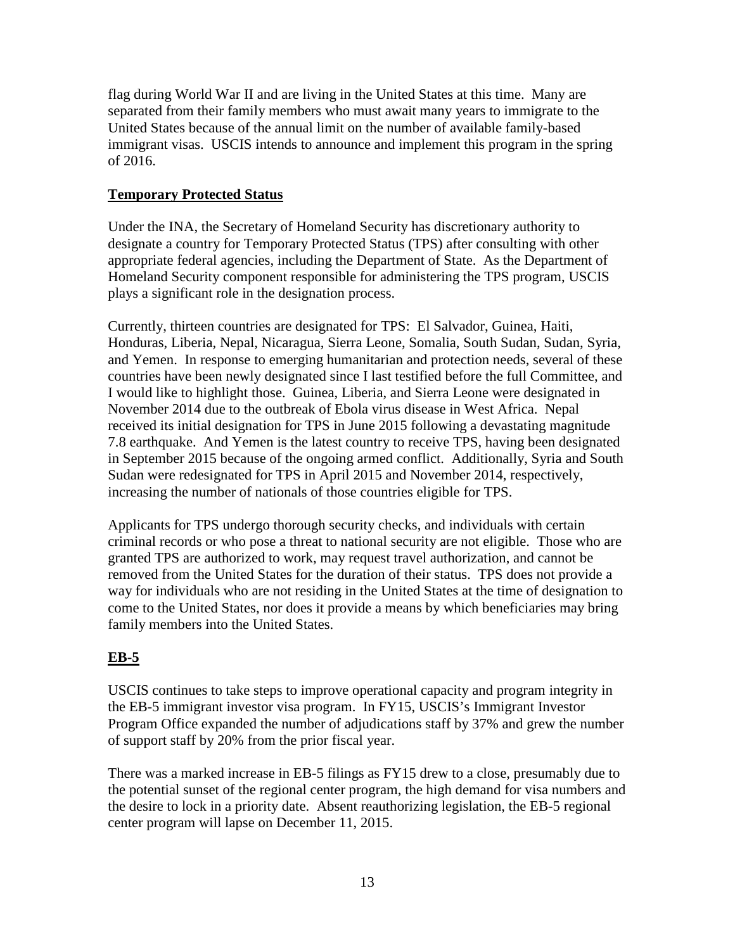flag during World War II and are living in the United States at this time. Many are separated from their family members who must await many years to immigrate to the United States because of the annual limit on the number of available family-based immigrant visas. USCIS intends to announce and implement this program in the spring of 2016.

## **Temporary Protected Status**

Under the INA, the Secretary of Homeland Security has discretionary authority to designate a country for Temporary Protected Status (TPS) after consulting with other appropriate federal agencies, including the Department of State. As the Department of Homeland Security component responsible for administering the TPS program, USCIS plays a significant role in the designation process.

Currently, thirteen countries are designated for TPS: El Salvador, Guinea, Haiti, Honduras, Liberia, Nepal, Nicaragua, Sierra Leone, Somalia, South Sudan, Sudan, Syria, and Yemen. In response to emerging humanitarian and protection needs, several of these countries have been newly designated since I last testified before the full Committee, and I would like to highlight those. Guinea, Liberia, and Sierra Leone were designated in November 2014 due to the outbreak of Ebola virus disease in West Africa. Nepal received its initial designation for TPS in June 2015 following a devastating magnitude 7.8 earthquake. And Yemen is the latest country to receive TPS, having been designated in September 2015 because of the ongoing armed conflict. Additionally, Syria and South Sudan were redesignated for TPS in April 2015 and November 2014, respectively, increasing the number of nationals of those countries eligible for TPS.

Applicants for TPS undergo thorough security checks, and individuals with certain criminal records or who pose a threat to national security are not eligible. Those who are granted TPS are authorized to work, may request travel authorization, and cannot be removed from the United States for the duration of their status. TPS does not provide a way for individuals who are not residing in the United States at the time of designation to come to the United States, nor does it provide a means by which beneficiaries may bring family members into the United States.

# **EB-5**

USCIS continues to take steps to improve operational capacity and program integrity in the EB-5 immigrant investor visa program. In FY15, USCIS's Immigrant Investor Program Office expanded the number of adjudications staff by 37% and grew the number of support staff by 20% from the prior fiscal year.

There was a marked increase in EB-5 filings as FY15 drew to a close, presumably due to the potential sunset of the regional center program, the high demand for visa numbers and the desire to lock in a priority date. Absent reauthorizing legislation, the EB-5 regional center program will lapse on December 11, 2015.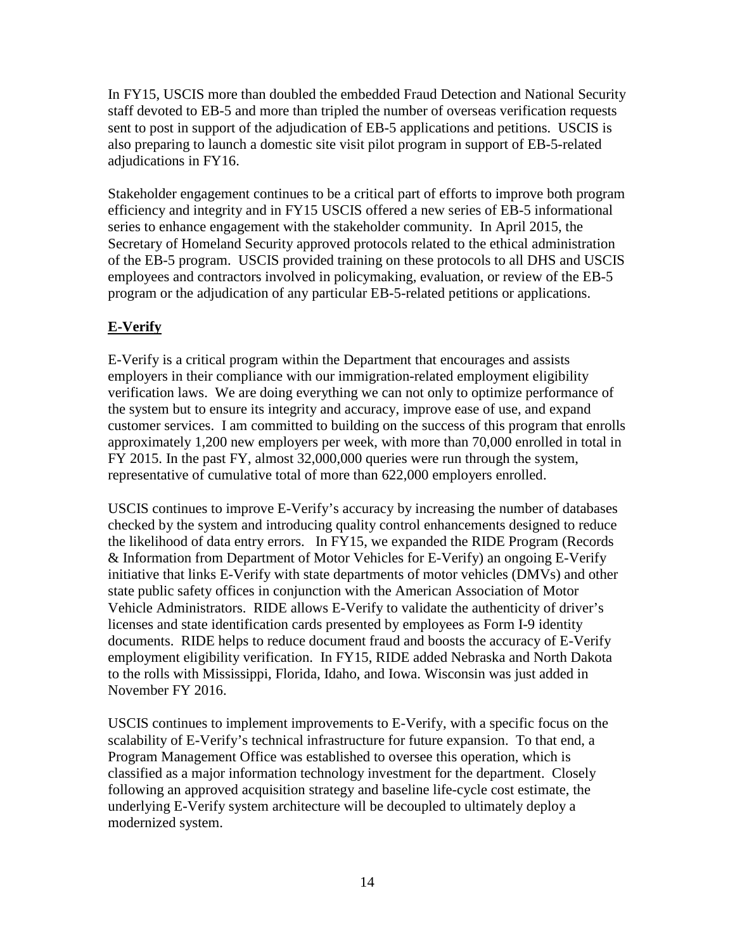In FY15, USCIS more than doubled the embedded Fraud Detection and National Security staff devoted to EB-5 and more than tripled the number of overseas verification requests sent to post in support of the adjudication of EB-5 applications and petitions. USCIS is also preparing to launch a domestic site visit pilot program in support of EB-5-related adjudications in FY16.

Stakeholder engagement continues to be a critical part of efforts to improve both program efficiency and integrity and in FY15 USCIS offered a new series of EB-5 informational series to enhance engagement with the stakeholder community. In April 2015, the Secretary of Homeland Security approved protocols related to the ethical administration of the EB-5 program. USCIS provided training on these protocols to all DHS and USCIS employees and contractors involved in policymaking, evaluation, or review of the EB-5 program or the adjudication of any particular EB-5-related petitions or applications.

# **E-Verify**

E-Verify is a critical program within the Department that encourages and assists employers in their compliance with our immigration-related employment eligibility verification laws. We are doing everything we can not only to optimize performance of the system but to ensure its integrity and accuracy, improve ease of use, and expand customer services. I am committed to building on the success of this program that enrolls approximately 1,200 new employers per week, with more than 70,000 enrolled in total in FY 2015. In the past FY, almost 32,000,000 queries were run through the system, representative of cumulative total of more than 622,000 employers enrolled.

USCIS continues to improve E-Verify's accuracy by increasing the number of databases checked by the system and introducing quality control enhancements designed to reduce the likelihood of data entry errors. In FY15, we expanded the RIDE Program (Records & Information from Department of Motor Vehicles for E-Verify) an ongoing E-Verify initiative that links E-Verify with state departments of motor vehicles (DMVs) and other state public safety offices in conjunction with the American Association of Motor Vehicle Administrators. RIDE allows E-Verify to validate the authenticity of driver's licenses and state identification cards presented by employees as Form I-9 identity documents. RIDE helps to reduce document fraud and boosts the accuracy of E-Verify employment eligibility verification. In FY15, RIDE added Nebraska and North Dakota to the rolls with Mississippi, Florida, Idaho, and Iowa. Wisconsin was just added in November FY 2016.

USCIS continues to implement improvements to E-Verify, with a specific focus on the scalability of E-Verify's technical infrastructure for future expansion. To that end, a Program Management Office was established to oversee this operation, which is classified as a major information technology investment for the department. Closely following an approved acquisition strategy and baseline life-cycle cost estimate, the underlying E-Verify system architecture will be decoupled to ultimately deploy a modernized system.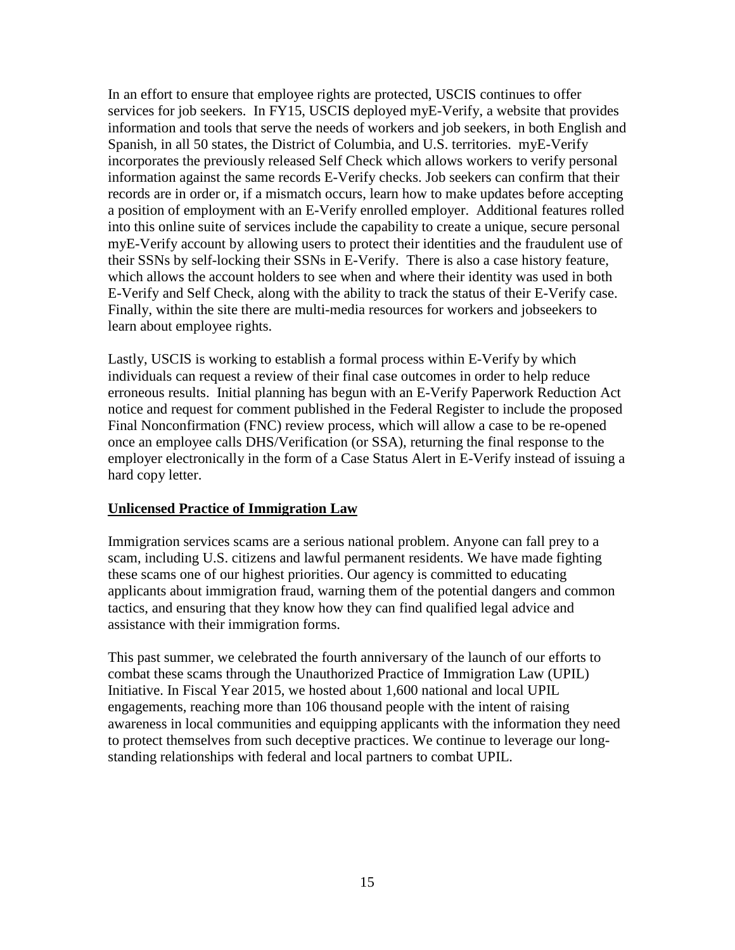In an effort to ensure that employee rights are protected, USCIS continues to offer services for job seekers. In FY15, USCIS deployed myE-Verify, a website that provides information and tools that serve the needs of workers and job seekers, in both English and Spanish, in all 50 states, the District of Columbia, and U.S. territories. myE-Verify incorporates the previously released Self Check which allows workers to verify personal information against the same records E-Verify checks. Job seekers can confirm that their records are in order or, if a mismatch occurs, learn how to make updates before accepting a position of employment with an E-Verify enrolled employer. Additional features rolled into this online suite of services include the capability to create a unique, secure personal myE-Verify account by allowing users to protect their identities and the fraudulent use of their SSNs by self-locking their SSNs in E-Verify. There is also a case history feature, which allows the account holders to see when and where their identity was used in both E-Verify and Self Check, along with the ability to track the status of their E-Verify case. Finally, within the site there are multi-media resources for workers and jobseekers to learn about employee rights.

Lastly, USCIS is working to establish a formal process within E-Verify by which individuals can request a review of their final case outcomes in order to help reduce erroneous results. Initial planning has begun with an E-Verify Paperwork Reduction Act notice and request for comment published in the Federal Register to include the proposed Final Nonconfirmation (FNC) review process, which will allow a case to be re-opened once an employee calls DHS/Verification (or SSA), returning the final response to the employer electronically in the form of a Case Status Alert in E-Verify instead of issuing a hard copy letter.

#### **Unlicensed Practice of Immigration Law**

Immigration services scams are a serious national problem. Anyone can fall prey to a scam, including U.S. citizens and lawful permanent residents. We have made fighting these scams one of our highest priorities. Our agency is committed to educating applicants about immigration fraud, warning them of the potential dangers and common tactics, and ensuring that they know how they can find qualified legal advice and assistance with their immigration forms.

This past summer, we celebrated the fourth anniversary of the launch of our efforts to combat these scams through the Unauthorized Practice of Immigration Law (UPIL) Initiative. In Fiscal Year 2015, we hosted about 1,600 national and local UPIL engagements, reaching more than 106 thousand people with the intent of raising awareness in local communities and equipping applicants with the information they need to protect themselves from such deceptive practices. We continue to leverage our longstanding relationships with federal and local partners to combat UPIL.